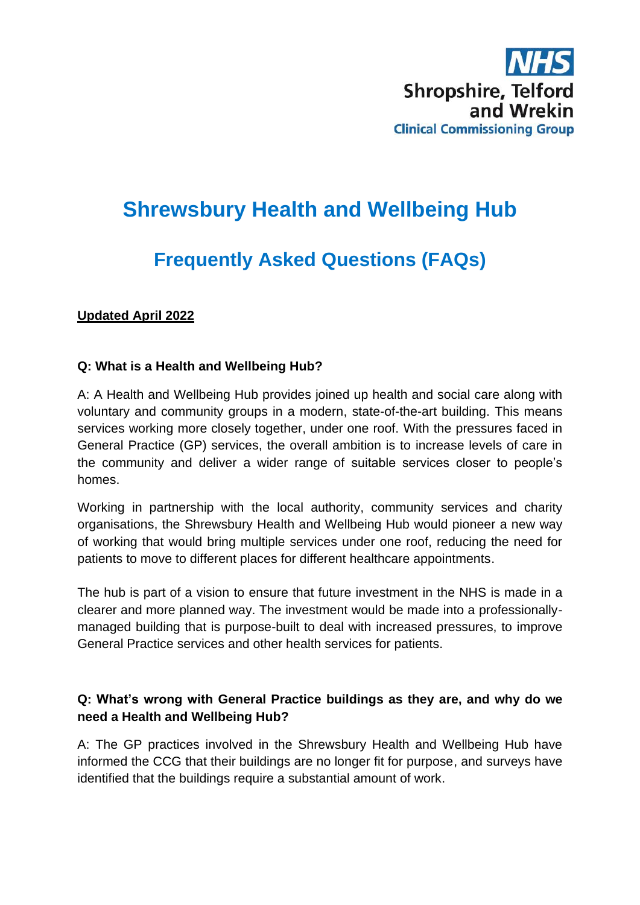

# **Shrewsbury Health and Wellbeing Hub**

# **Frequently Asked Questions (FAQs)**

#### **Updated April 2022**

#### **Q: What is a Health and Wellbeing Hub?**

A: A Health and Wellbeing Hub provides joined up health and social care along with voluntary and community groups in a modern, state-of-the-art building. This means services working more closely together, under one roof. With the pressures faced in General Practice (GP) services, the overall ambition is to increase levels of care in the community and deliver a wider range of suitable services closer to people's homes.

Working in partnership with the local authority, community services and charity organisations, the Shrewsbury Health and Wellbeing Hub would pioneer a new way of working that would bring multiple services under one roof, reducing the need for patients to move to different places for different healthcare appointments.

The hub is part of a vision to ensure that future investment in the NHS is made in a clearer and more planned way. The investment would be made into a professionallymanaged building that is purpose-built to deal with increased pressures, to improve General Practice services and other health services for patients.

#### **Q: What's wrong with General Practice buildings as they are, and why do we need a Health and Wellbeing Hub?**

A: The GP practices involved in the Shrewsbury Health and Wellbeing Hub have informed the CCG that their buildings are no longer fit for purpose, and surveys have identified that the buildings require a substantial amount of work.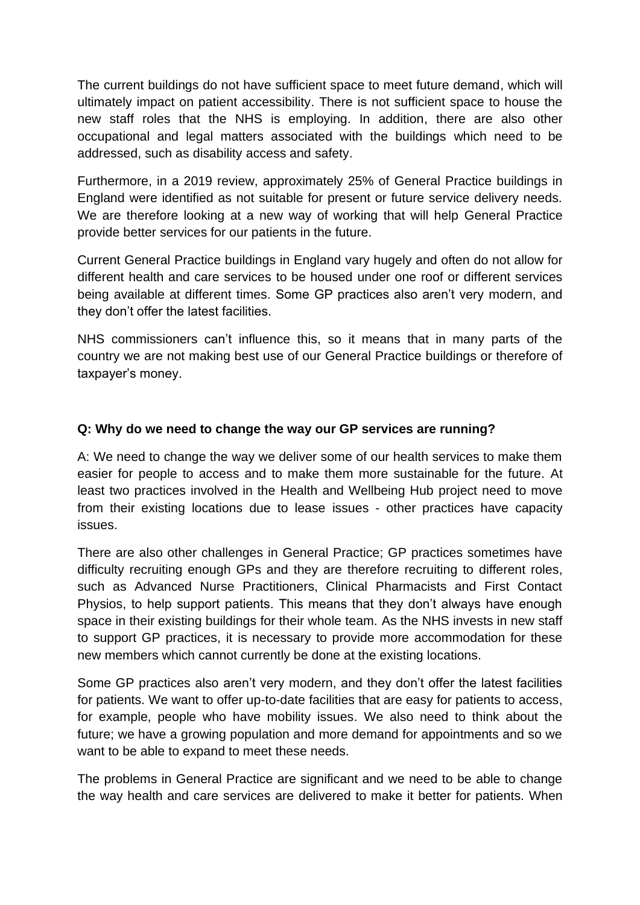The current buildings do not have sufficient space to meet future demand, which will ultimately impact on patient accessibility. There is not sufficient space to house the new staff roles that the NHS is employing. In addition, there are also other occupational and legal matters associated with the buildings which need to be addressed, such as disability access and safety.

Furthermore, in a 2019 review, approximately 25% of General Practice buildings in England were identified as not suitable for present or future service delivery needs. We are therefore looking at a new way of working that will help General Practice provide better services for our patients in the future.

Current General Practice buildings in England vary hugely and often do not allow for different health and care services to be housed under one roof or different services being available at different times. Some GP practices also aren't very modern, and they don't offer the latest facilities.

NHS commissioners can't influence this, so it means that in many parts of the country we are not making best use of our General Practice buildings or therefore of taxpayer's money.

#### **Q: Why do we need to change the way our GP services are running?**

A: We need to change the way we deliver some of our health services to make them easier for people to access and to make them more sustainable for the future. At least two practices involved in the Health and Wellbeing Hub project need to move from their existing locations due to lease issues - other practices have capacity issues.

There are also other challenges in General Practice; GP practices sometimes have difficulty recruiting enough GPs and they are therefore recruiting to different roles, such as Advanced Nurse Practitioners, Clinical Pharmacists and First Contact Physios, to help support patients. This means that they don't always have enough space in their existing buildings for their whole team. As the NHS invests in new staff to support GP practices, it is necessary to provide more accommodation for these new members which cannot currently be done at the existing locations.

Some GP practices also aren't very modern, and they don't offer the latest facilities for patients. We want to offer up-to-date facilities that are easy for patients to access, for example, people who have mobility issues. We also need to think about the future; we have a growing population and more demand for appointments and so we want to be able to expand to meet these needs.

The problems in General Practice are significant and we need to be able to change the way health and care services are delivered to make it better for patients. When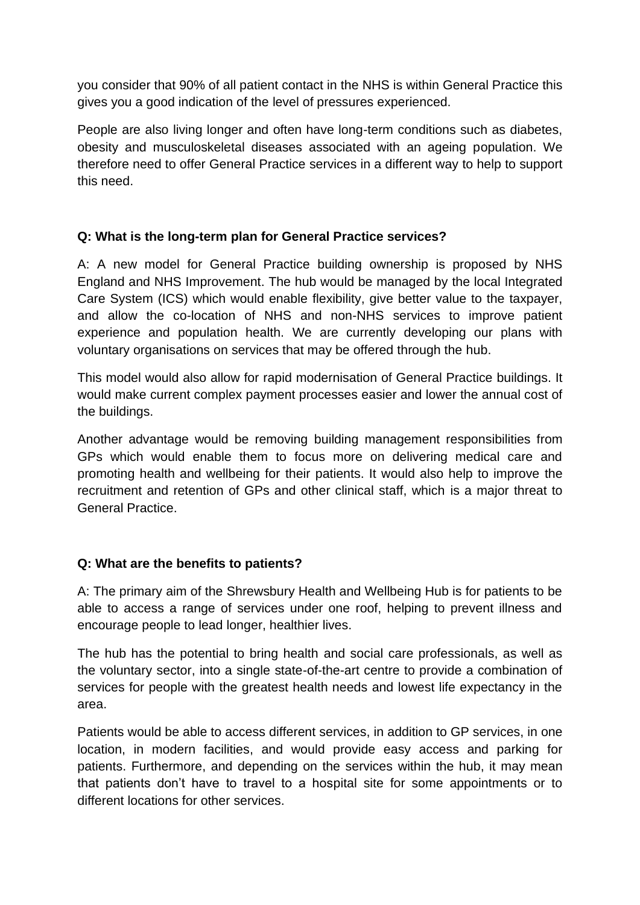you consider that 90% of all patient contact in the NHS is within General Practice this gives you a good indication of the level of pressures experienced.

People are also living longer and often have long-term conditions such as diabetes, obesity and musculoskeletal diseases associated with an ageing population. We therefore need to offer General Practice services in a different way to help to support this need.

#### **Q: What is the long-term plan for General Practice services?**

A: A new model for General Practice building ownership is proposed by NHS England and NHS Improvement. The hub would be managed by the local Integrated Care System (ICS) which would enable flexibility, give better value to the taxpayer, and allow the co-location of NHS and non-NHS services to improve patient experience and population health. We are currently developing our plans with voluntary organisations on services that may be offered through the hub.

This model would also allow for rapid modernisation of General Practice buildings. It would make current complex payment processes easier and lower the annual cost of the buildings.

Another advantage would be removing building management responsibilities from GPs which would enable them to focus more on delivering medical care and promoting health and wellbeing for their patients. It would also help to improve the recruitment and retention of GPs and other clinical staff, which is a major threat to General Practice.

#### **Q: What are the benefits to patients?**

A: The primary aim of the Shrewsbury Health and Wellbeing Hub is for patients to be able to access a range of services under one roof, helping to prevent illness and encourage people to lead longer, healthier lives.

The hub has the potential to bring health and social care professionals, as well as the voluntary sector, into a single state-of-the-art centre to provide a combination of services for people with the greatest health needs and lowest life expectancy in the area.

Patients would be able to access different services, in addition to GP services, in one location, in modern facilities, and would provide easy access and parking for patients. Furthermore, and depending on the services within the hub, it may mean that patients don't have to travel to a hospital site for some appointments or to different locations for other services.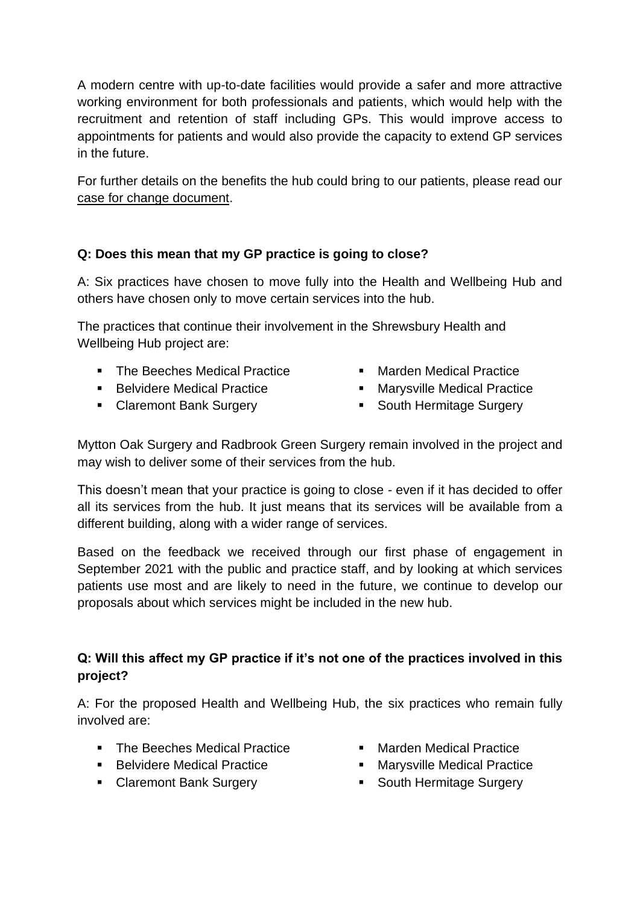A modern centre with up-to-date facilities would provide a safer and more attractive working environment for both professionals and patients, which would help with the recruitment and retention of staff including GPs. This would improve access to appointments for patients and would also provide the capacity to extend GP services in the future.

For further details on the benefits the hub could bring to our patients, please read our case for change document.

# **Q: Does this mean that my GP practice is going to close?**

A: Six practices have chosen to move fully into the Health and Wellbeing Hub and others have chosen only to move certain services into the hub.

The practices that continue their involvement in the Shrewsbury Health and Wellbeing Hub project are:

- The Beeches Medical Practice
- Belvidere Medical Practice
- Claremont Bank Surgery
- Marden Medical Practice
- Marysville Medical Practice
- South Hermitage Surgery

Mytton Oak Surgery and Radbrook Green Surgery remain involved in the project and may wish to deliver some of their services from the hub.

This doesn't mean that your practice is going to close - even if it has decided to offer all its services from the hub. It just means that its services will be available from a different building, along with a wider range of services.

Based on the feedback we received through our first phase of engagement in September 2021 with the public and practice staff, and by looking at which services patients use most and are likely to need in the future, we continue to develop our proposals about which services might be included in the new hub.

# **Q: Will this affect my GP practice if it's not one of the practices involved in this project?**

A: For the proposed Health and Wellbeing Hub, the six practices who remain fully involved are:

- The Beeches Medical Practice
- Belvidere Medical Practice
- Claremont Bank Surgery
- Marden Medical Practice
- Marysville Medical Practice
- South Hermitage Surgery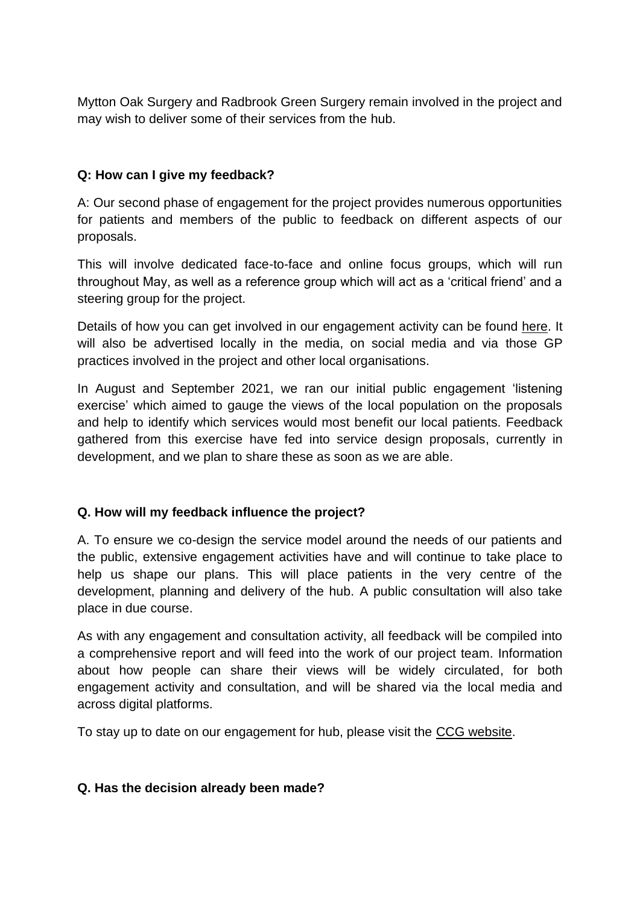Mytton Oak Surgery and Radbrook Green Surgery remain involved in the project and may wish to deliver some of their services from the hub.

#### **Q: How can I give my feedback?**

A: Our second phase of engagement for the project provides numerous opportunities for patients and members of the public to feedback on different aspects of our proposals.

This will involve dedicated face-to-face and online focus groups, which will run throughout May, as well as a reference group which will act as a 'critical friend' and a steering group for the project.

Details of how you can get involved in our engagement activity can be found here. It will also be advertised locally in the media, on social media and via those GP practices involved in the project and other local organisations.

In August and September 2021, we ran our initial public engagement 'listening exercise' which aimed to gauge the views of the local population on the proposals and help to identify which services would most benefit our local patients. Feedback gathered from this exercise have fed into service design proposals, currently in development, and we plan to share these as soon as we are able.

#### **Q. How will my feedback influence the project?**

A. To ensure we co-design the service model around the needs of our patients and the public, extensive engagement activities have and will continue to take place to help us shape our plans. This will place patients in the very centre of the development, planning and delivery of the hub. A public consultation will also take place in due course.

As with any engagement and consultation activity, all feedback will be compiled into a comprehensive report and will feed into the work of our project team. Information about how people can share their views will be widely circulated, for both engagement activity and consultation, and will be shared via the local media and across digital platforms.

To stay up to date on our engagement for hub, please visit the CCG website.

#### **Q. Has the decision already been made?**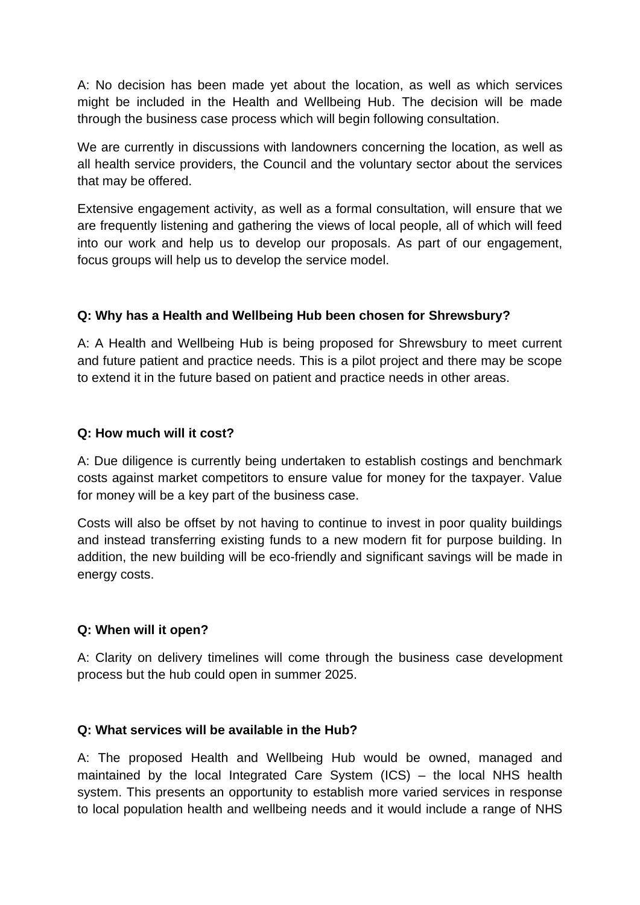A: No decision has been made yet about the location, as well as which services might be included in the Health and Wellbeing Hub. The decision will be made through the business case process which will begin following consultation.

We are currently in discussions with landowners concerning the location, as well as all health service providers, the Council and the voluntary sector about the services that may be offered.

Extensive engagement activity, as well as a formal consultation, will ensure that we are frequently listening and gathering the views of local people, all of which will feed into our work and help us to develop our proposals. As part of our engagement, focus groups will help us to develop the service model.

# **Q: Why has a Health and Wellbeing Hub been chosen for Shrewsbury?**

A: A Health and Wellbeing Hub is being proposed for Shrewsbury to meet current and future patient and practice needs. This is a pilot project and there may be scope to extend it in the future based on patient and practice needs in other areas.

#### **Q: How much will it cost?**

A: Due diligence is currently being undertaken to establish costings and benchmark costs against market competitors to ensure value for money for the taxpayer. Value for money will be a key part of the business case.

Costs will also be offset by not having to continue to invest in poor quality buildings and instead transferring existing funds to a new modern fit for purpose building. In addition, the new building will be eco-friendly and significant savings will be made in energy costs.

#### **Q: When will it open?**

A: Clarity on delivery timelines will come through the business case development process but the hub could open in summer 2025.

#### **Q: What services will be available in the Hub?**

A: The proposed Health and Wellbeing Hub would be owned, managed and maintained by the local Integrated Care System (ICS) – the local NHS health system. This presents an opportunity to establish more varied services in response to local population health and wellbeing needs and it would include a range of NHS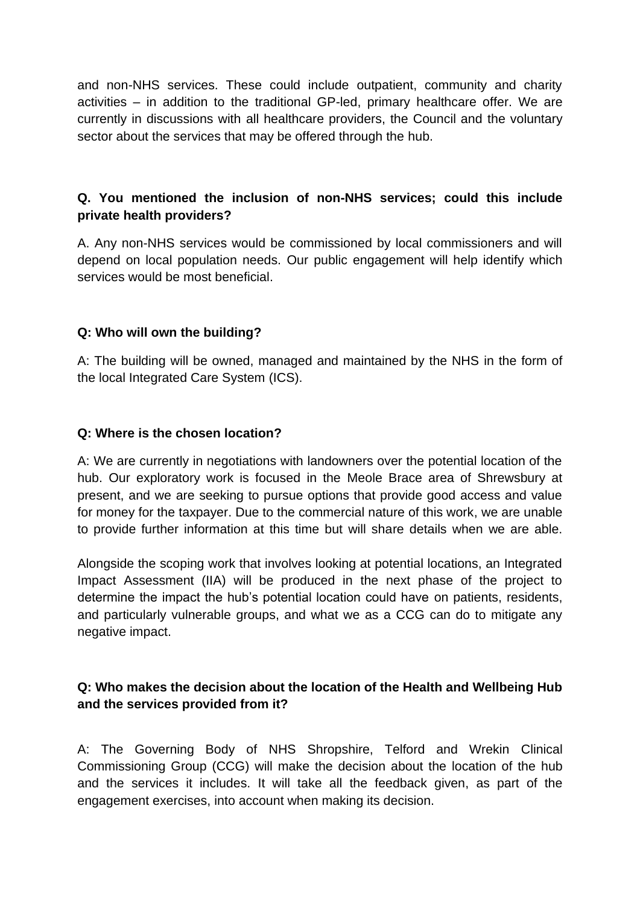and non-NHS services. These could include outpatient, community and charity activities – in addition to the traditional GP-led, primary healthcare offer. We are currently in discussions with all healthcare providers, the Council and the voluntary sector about the services that may be offered through the hub.

# **Q. You mentioned the inclusion of non-NHS services; could this include private health providers?**

A. Any non-NHS services would be commissioned by local commissioners and will depend on local population needs. Our public engagement will help identify which services would be most beneficial.

#### **Q: Who will own the building?**

A: The building will be owned, managed and maintained by the NHS in the form of the local Integrated Care System (ICS).

#### **Q: Where is the chosen location?**

A: We are currently in negotiations with landowners over the potential location of the hub. Our exploratory work is focused in the Meole Brace area of Shrewsbury at present, and we are seeking to pursue options that provide good access and value for money for the taxpayer. Due to the commercial nature of this work, we are unable to provide further information at this time but will share details when we are able.

Alongside the scoping work that involves looking at potential locations, an Integrated Impact Assessment (IIA) will be produced in the next phase of the project to determine the impact the hub's potential location could have on patients, residents, and particularly vulnerable groups, and what we as a CCG can do to mitigate any negative impact.

# **Q: Who makes the decision about the location of the Health and Wellbeing Hub and the services provided from it?**

A: The Governing Body of NHS Shropshire, Telford and Wrekin Clinical Commissioning Group (CCG) will make the decision about the location of the hub and the services it includes. It will take all the feedback given, as part of the engagement exercises, into account when making its decision.